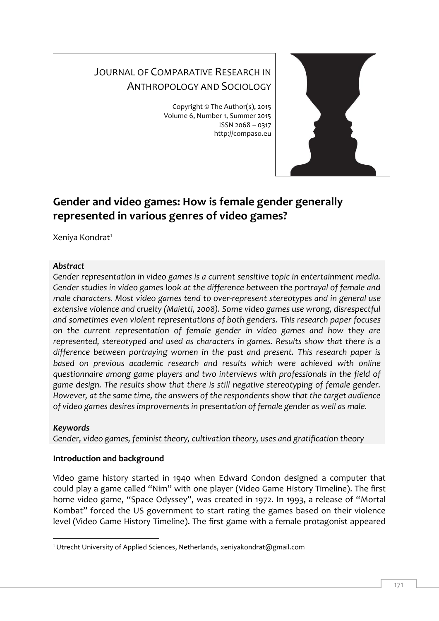# JOURNAL OF COMPARATIVE RESEARCH IN ANTHROPOLOGY AND SOCIOLOGY

Copyright © The Author(s), 2015 Volume 6, Number 1, Summer 2015 ISSN 2068 – 0317 http://compaso.eu



# **Gender and video games: How is female gender generally represented in various genres of video games?**

Xeniya Kondrat<sup>1</sup>

## *Abstract*

*Gender representation in video games is a current sensitive topic in entertainment media. Gender studies in video games look at the difference between the portrayal of female and male characters. Most video games tend to over-represent stereotypes and in general use extensive violence and cruelty (Maietti, 2008). Some video games use wrong, disrespectful and sometimes even violent representations of both genders. This research paper focuses on the current representation of female gender in video games and how they are represented, stereotyped and used as characters in games. Results show that there is a difference between portraying women in the past and present. This research paper is based on previous academic research and results which were achieved with online questionnaire among game players and two interviews with professionals in the field of game design. The results show that there is still negative stereotyping of female gender. However, at the same time, the answers of the respondents show that the target audience of video games desires improvements in presentation of female gender as well as male.*

# *Keywords*

*Gender, video games, feminist theory, cultivation theory, uses and gratification theory*

# **Introduction and background**

Video game history started in 1940 when Edward Condon designed a computer that could play a game called "Nim" with one player (Video Game History Timeline). The first home video game, "Space Odyssey", was created in 1972. In 1993, a release of "Mortal Kombat" forced the US government to start rating the games based on their violence level (Video Game History Timeline). The first game with a female protagonist appeared

<sup>-</sup><sup>1</sup> Utrecht University of Applied Sciences, Netherlands, xeniyakondrat@gmail.com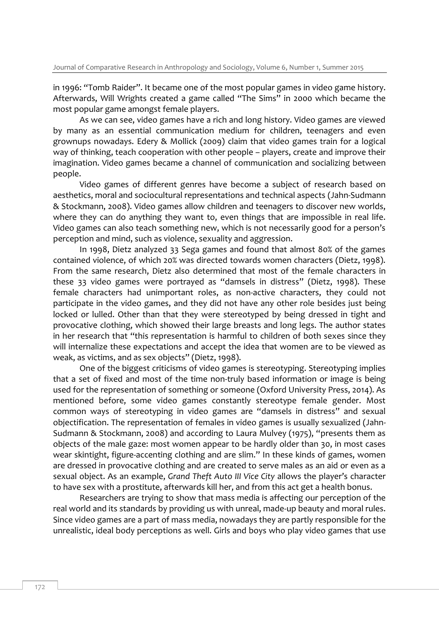in 1996: "Tomb Raider". It became one of the most popular games in video game history. Afterwards, Will Wrights created a game called "The Sims" in 2000 which became the most popular game amongst female players.

As we can see, video games have a rich and long history. Video games are viewed by many as an essential communication medium for children, teenagers and even grownups nowadays. Edery & Mollick (2009) claim that video games train for a logical way of thinking, teach cooperation with other people – players, create and improve their imagination. Video games became a channel of communication and socializing between people.

Video games of different genres have become a subject of research based on aesthetics, moral and sociocultural representations and technical aspects (Jahn-Sudmann & Stockmann, 2008). Video games allow children and teenagers to discover new worlds, where they can do anything they want to, even things that are impossible in real life. Video games can also teach something new, which is not necessarily good for a person's perception and mind, such as violence, sexuality and aggression.

In 1998, Dietz analyzed 33 Sega games and found that almost 80% of the games contained violence, of which 20% was directed towards women characters (Dietz, 1998). From the same research, Dietz also determined that most of the female characters in these 33 video games were portrayed as "damsels in distress" (Dietz, 1998). These female characters had unimportant roles, as non-active characters, they could not participate in the video games, and they did not have any other role besides just being locked or lulled. Other than that they were stereotyped by being dressed in tight and provocative clothing, which showed their large breasts and long legs. The author states in her research that "this representation is harmful to children of both sexes since they will internalize these expectations and accept the idea that women are to be viewed as weak, as victims, and as sex objects" (Dietz, 1998).

One of the biggest criticisms of video games is stereotyping. Stereotyping implies that a set of fixed and most of the time non-truly based information or image is being used for the representation of something or someone (Oxford University Press, 2014). As mentioned before, some video games constantly stereotype female gender. Most common ways of stereotyping in video games are "damsels in distress" and sexual objectification. The representation of females in video games is usually sexualized (Jahn-Sudmann & Stockmann, 2008) and according to Laura Mulvey (1975), "presents them as objects of the male gaze: most women appear to be hardly older than 30, in most cases wear skintight, figure-accenting clothing and are slim." In these kinds of games, women are dressed in provocative clothing and are created to serve males as an aid or even as a sexual object. As an example, *Grand Theft Auto III Vice City* allows the player's character to have sex with a prostitute, afterwards kill her, and from this act get a health bonus.

Researchers are trying to show that mass media is affecting our perception of the real world and its standards by providing us with unreal, made-up beauty and moral rules. Since video games are a part of mass media, nowadays they are partly responsible for the unrealistic, ideal body perceptions as well. Girls and boys who play video games that use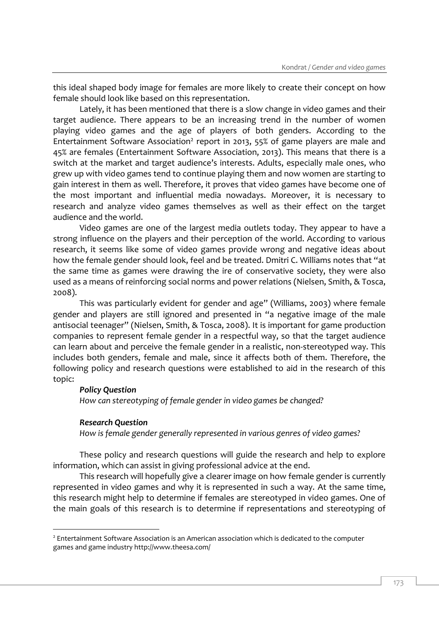this ideal shaped body image for females are more likely to create their concept on how female should look like based on this representation.

Lately, it has been mentioned that there is a slow change in video games and their target audience. There appears to be an increasing trend in the number of women playing video games and the age of players of both genders. According to the Entertainment Software Association<sup>2</sup> report in 2013, 55% of game players are male and 45% are females (Entertainment Software Association, 2013). This means that there is a switch at the market and target audience's interests. Adults, especially male ones, who grew up with video games tend to continue playing them and now women are starting to gain interest in them as well. Therefore, it proves that video games have become one of the most important and influential media nowadays. Moreover, it is necessary to research and analyze video games themselves as well as their effect on the target audience and the world.

Video games are one of the largest media outlets today. They appear to have a strong influence on the players and their perception of the world. According to various research, it seems like some of video games provide wrong and negative ideas about how the female gender should look, feel and be treated. Dmitri C. Williams notes that "at the same time as games were drawing the ire of conservative society, they were also used as a means of reinforcing social norms and power relations (Nielsen, Smith, & Tosca, 2008).

This was particularly evident for gender and age" (Williams, 2003) where female gender and players are still ignored and presented in "a negative image of the male antisocial teenager" (Nielsen, Smith, & Tosca, 2008). It is important for game production companies to represent female gender in a respectful way, so that the target audience can learn about and perceive the female gender in a realistic, non-stereotyped way. This includes both genders, female and male, since it affects both of them. Therefore, the following policy and research questions were established to aid in the research of this topic:

## *Policy Question*

*How can stereotyping of female gender in video games be changed?*

#### *Research Question*

-

*How is female gender generally represented in various genres of video games?*

These policy and research questions will guide the research and help to explore information, which can assist in giving professional advice at the end.

This research will hopefully give a clearer image on how female gender is currently represented in video games and why it is represented in such a way. At the same time, this research might help to determine if females are stereotyped in video games. One of the main goals of this research is to determine if representations and stereotyping of

<sup>&</sup>lt;sup>2</sup> Entertainment Software Association is an American association which is dedicated to the computer games and game industry http://www.theesa.com/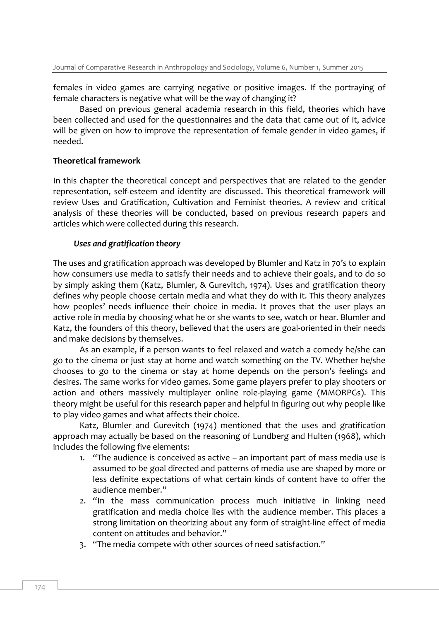females in video games are carrying negative or positive images. If the portraying of female characters is negative what will be the way of changing it?

Based on previous general academia research in this field, theories which have been collected and used for the questionnaires and the data that came out of it, advice will be given on how to improve the representation of female gender in video games, if needed.

#### **Theoretical framework**

In this chapter the theoretical concept and perspectives that are related to the gender representation, self-esteem and identity are discussed. This theoretical framework will review Uses and Gratification, Cultivation and Feminist theories. A review and critical analysis of these theories will be conducted, based on previous research papers and articles which were collected during this research.

## *Uses and gratification theory*

The uses and gratification approach was developed by Blumler and Katz in 70's to explain how consumers use media to satisfy their needs and to achieve their goals, and to do so by simply asking them (Katz, Blumler, & Gurevitch, 1974). Uses and gratification theory defines why people choose certain media and what they do with it. This theory analyzes how peoples' needs influence their choice in media. It proves that the user plays an active role in media by choosing what he or she wants to see, watch or hear. Blumler and Katz, the founders of this theory, believed that the users are goal-oriented in their needs and make decisions by themselves.

As an example, if a person wants to feel relaxed and watch a comedy he/she can go to the cinema or just stay at home and watch something on the TV. Whether he/she chooses to go to the cinema or stay at home depends on the person's feelings and desires. The same works for video games. Some game players prefer to play shooters or action and others massively multiplayer online role-playing game (MMORPGs). This theory might be useful for this research paper and helpful in figuring out why people like to play video games and what affects their choice.

Katz, Blumler and Gurevitch (1974) mentioned that the uses and gratification approach may actually be based on the reasoning of Lundberg and Hulten (1968), which includes the following five elements:

- 1. "The audience is conceived as active an important part of mass media use is assumed to be goal directed and patterns of media use are shaped by more or less definite expectations of what certain kinds of content have to offer the audience member."
- 2. "In the mass communication process much initiative in linking need gratification and media choice lies with the audience member. This places a strong limitation on theorizing about any form of straight-line effect of media content on attitudes and behavior."
- 3. "The media compete with other sources of need satisfaction."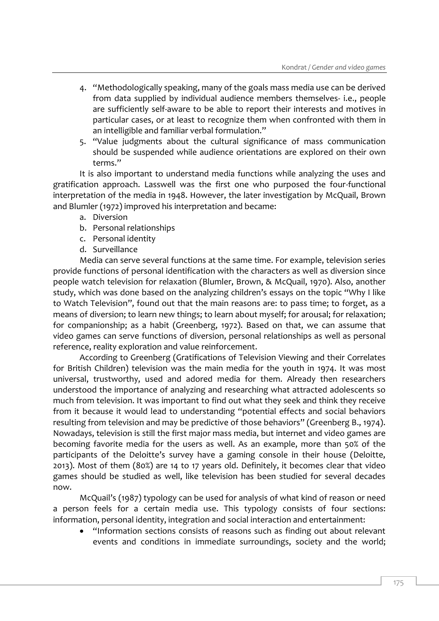- 4. "Methodologically speaking, many of the goals mass media use can be derived from data supplied by individual audience members themselves- i.e., people are sufficiently self-aware to be able to report their interests and motives in particular cases, or at least to recognize them when confronted with them in an intelligible and familiar verbal formulation."
- 5. "Value judgments about the cultural significance of mass communication should be suspended while audience orientations are explored on their own terms."

It is also important to understand media functions while analyzing the uses and gratification approach. Lasswell was the first one who purposed the four-functional interpretation of the media in 1948. However, the later investigation by McQuail, Brown and Blumler (1972) improved his interpretation and became:

- a. Diversion
- b. Personal relationships
- c. Personal identity
- d. Surveillance

Media can serve several functions at the same time. For example, television series provide functions of personal identification with the characters as well as diversion since people watch television for relaxation (Blumler, Brown, & McQuail, 1970). Also, another study, which was done based on the analyzing children's essays on the topic "Why I like to Watch Television", found out that the main reasons are: to pass time; to forget, as a means of diversion; to learn new things; to learn about myself; for arousal; for relaxation; for companionship; as a habit (Greenberg, 1972). Based on that, we can assume that video games can serve functions of diversion, personal relationships as well as personal reference, reality exploration and value reinforcement.

According to Greenberg (Gratifications of Television Viewing and their Correlates for British Children) television was the main media for the youth in 1974. It was most universal, trustworthy, used and adored media for them. Already then researchers understood the importance of analyzing and researching what attracted adolescents so much from television. It was important to find out what they seek and think they receive from it because it would lead to understanding "potential effects and social behaviors resulting from television and may be predictive of those behaviors" (Greenberg B., 1974). Nowadays, television is still the first major mass media, but internet and video games are becoming favorite media for the users as well. As an example, more than 50% of the participants of the Deloitte's survey have a gaming console in their house (Deloitte, 2013). Most of them (80%) are 14 to 17 years old. Definitely, it becomes clear that video games should be studied as well, like television has been studied for several decades now.

McQuail's (1987) typology can be used for analysis of what kind of reason or need a person feels for a certain media use. This typology consists of four sections: information, personal identity, integration and social interaction and entertainment:

 "Information sections consists of reasons such as finding out about relevant events and conditions in immediate surroundings, society and the world;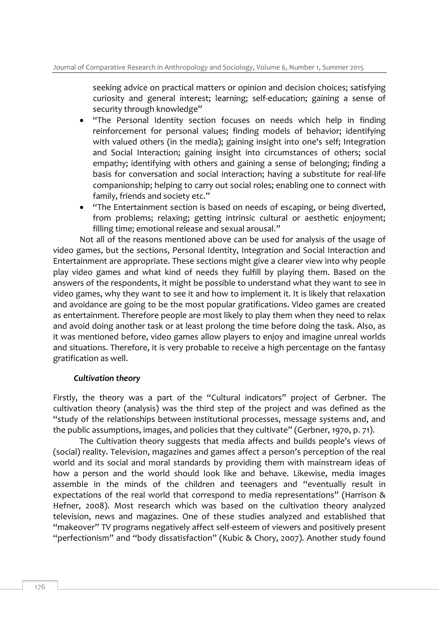seeking advice on practical matters or opinion and decision choices; satisfying curiosity and general interest; learning; self-education; gaining a sense of security through knowledge"

- "The Personal Identity section focuses on needs which help in finding reinforcement for personal values; finding models of behavior; identifying with valued others (in the media); gaining insight into one's self; Integration and Social Interaction; gaining insight into circumstances of others; social empathy; identifying with others and gaining a sense of belonging; finding a basis for conversation and social interaction; having a substitute for real-life companionship; helping to carry out social roles; enabling one to connect with family, friends and society etc."
- "The Entertainment section is based on needs of escaping, or being diverted, from problems; relaxing; getting intrinsic cultural or aesthetic enjoyment; filling time; emotional release and sexual arousal."

Not all of the reasons mentioned above can be used for analysis of the usage of video games, but the sections, Personal Identity, Integration and Social Interaction and Entertainment are appropriate. These sections might give a clearer view into why people play video games and what kind of needs they fulfill by playing them. Based on the answers of the respondents, it might be possible to understand what they want to see in video games, why they want to see it and how to implement it. It is likely that relaxation and avoidance are going to be the most popular gratifications. Video games are created as entertainment. Therefore people are most likely to play them when they need to relax and avoid doing another task or at least prolong the time before doing the task. Also, as it was mentioned before, video games allow players to enjoy and imagine unreal worlds and situations. Therefore, it is very probable to receive a high percentage on the fantasy gratification as well.

#### *Cultivation theory*

Firstly, the theory was a part of the "Cultural indicators" project of Gerbner. The cultivation theory (analysis) was the third step of the project and was defined as the "study of the relationships between institutional processes, message systems and, and the public assumptions, images, and policies that they cultivate" (Gerbner, 1970, p. 71).

The Cultivation theory suggests that media affects and builds people's views of (social) reality. Television, magazines and games affect a person's perception of the real world and its social and moral standards by providing them with mainstream ideas of how a person and the world should look like and behave. Likewise, media images assemble in the minds of the children and teenagers and "eventually result in expectations of the real world that correspond to media representations" (Harrison & Hefner, 2008). Most research which was based on the cultivation theory analyzed television, news and magazines. One of these studies analyzed and established that "makeover" TV programs negatively affect self-esteem of viewers and positively present "perfectionism" and "body dissatisfaction" (Kubic & Chory, 2007). Another study found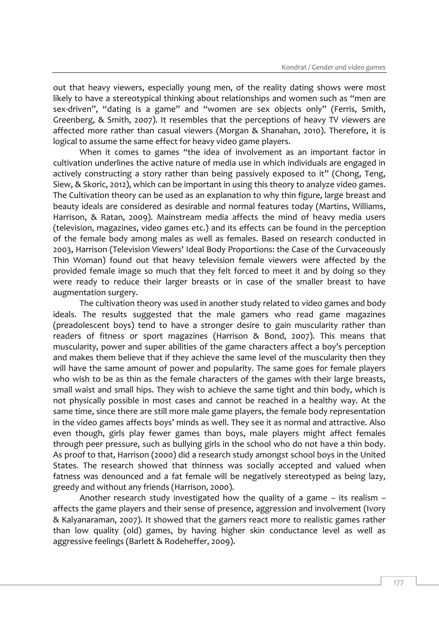out that heavy viewers, especially young men, of the reality dating shows were most likely to have a stereotypical thinking about relationships and women such as "men are sex-driven", "dating is a game" and "women are sex objects only" (Ferris, Smith, Greenberg, & Smith, 2007). It resembles that the perceptions of heavy TV viewers are affected more rather than casual viewers (Morgan & Shanahan, 2010). Therefore, it is logical to assume the same effect for heavy video game players.

When it comes to games "the idea of involvement as an important factor in cultivation underlines the active nature of media use in which individuals are engaged in actively constructing a story rather than being passively exposed to it" (Chong, Teng, Siew, & Skoric, 2012), which can be important in using this theory to analyze video games. The Cultivation theory can be used as an explanation to why thin figure, large breast and beauty ideals are considered as desirable and normal features today (Martins, Williams, Harrison, & Ratan, 2009). Mainstream media affects the mind of heavy media users (television, magazines, video games etc.) and its effects can be found in the perception of the female body among males as well as females. Based on research conducted in 2003, Harrison (Television Viewers' Ideal Body Proportions: the Case of the Curvaceously Thin Woman) found out that heavy television female viewers were affected by the provided female image so much that they felt forced to meet it and by doing so they were ready to reduce their larger breasts or in case of the smaller breast to have augmentation surgery.

The cultivation theory was used in another study related to video games and body ideals. The results suggested that the male gamers who read game magazines (preadolescent boys) tend to have a stronger desire to gain muscularity rather than readers of fitness or sport magazines (Harrison & Bond, 2007). This means that muscularity, power and super abilities of the game characters affect a boy's perception and makes them believe that if they achieve the same level of the muscularity then they will have the same amount of power and popularity. The same goes for female players who wish to be as thin as the female characters of the games with their large breasts, small waist and small hips. They wish to achieve the same tight and thin body, which is not physically possible in most cases and cannot be reached in a healthy way. At the same time, since there are still more male game players, the female body representation in the video games affects boys' minds as well. They see it as normal and attractive. Also even though, girls play fewer games than boys, male players might affect females through peer pressure, such as bullying girls in the school who do not have a thin body. As proof to that, Harrison (2000) did a research study amongst school boys in the United States. The research showed that thinness was socially accepted and valued when fatness was denounced and a fat female will be negatively stereotyped as being lazy, greedy and without any friends (Harrison, 2000).

Another research study investigated how the quality of a game – its realism – affects the game players and their sense of presence, aggression and involvement (Ivory & Kalyanaraman, 2007). It showed that the gamers react more to realistic games rather than low quality (old) games, by having higher skin conductance level as well as aggressive feelings (Barlett & Rodeheffer, 2009).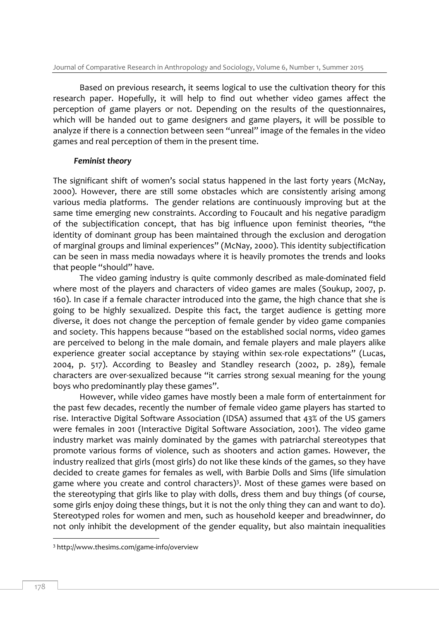Based on previous research, it seems logical to use the cultivation theory for this research paper. Hopefully, it will help to find out whether video games affect the perception of game players or not. Depending on the results of the questionnaires, which will be handed out to game designers and game players, it will be possible to analyze if there is a connection between seen "unreal" image of the females in the video games and real perception of them in the present time.

## *Feminist theory*

The significant shift of women's social status happened in the last forty years (McNay, 2000). However, there are still some obstacles which are consistently arising among various media platforms. The gender relations are continuously improving but at the same time emerging new constraints. According to Foucault and his negative paradigm of the subjectification concept, that has big influence upon feminist theories, "the identity of dominant group has been maintained through the exclusion and derogation of marginal groups and liminal experiences" (McNay, 2000). This identity subjectification can be seen in mass media nowadays where it is heavily promotes the trends and looks that people "should" have.

The video gaming industry is quite commonly described as male-dominated field where most of the players and characters of video games are males (Soukup, 2007, p. 160). In case if a female character introduced into the game, the high chance that she is going to be highly sexualized. Despite this fact, the target audience is getting more diverse, it does not change the perception of female gender by video game companies and society. This happens because "based on the established social norms, video games are perceived to belong in the male domain, and female players and male players alike experience greater social acceptance by staying within sex-role expectations" (Lucas, 2004, p. 517). According to Beasley and Standley research (2002, p. 289), female characters are over-sexualized because "it carries strong sexual meaning for the young boys who predominantly play these games".

However, while video games have mostly been a male form of entertainment for the past few decades, recently the number of female video game players has started to rise. Interactive Digital Software Association (IDSA) assumed that 43% of the US gamers were females in 2001 (Interactive Digital Software Association, 2001). The video game industry market was mainly dominated by the games with patriarchal stereotypes that promote various forms of violence, such as shooters and action games. However, the industry realized that girls (most girls) do not like these kinds of the games, so they have decided to create games for females as well, with Barbie Dolls and Sims (life simulation game where you create and control characters)<sup>3</sup>. Most of these games were based on the stereotyping that girls like to play with dolls, dress them and buy things (of course, some girls enjoy doing these things, but it is not the only thing they can and want to do). Stereotyped roles for women and men, such as household keeper and breadwinner, do not only inhibit the development of the gender equality, but also maintain inequalities

-

<sup>3</sup> http://www.thesims.com/game-info/overview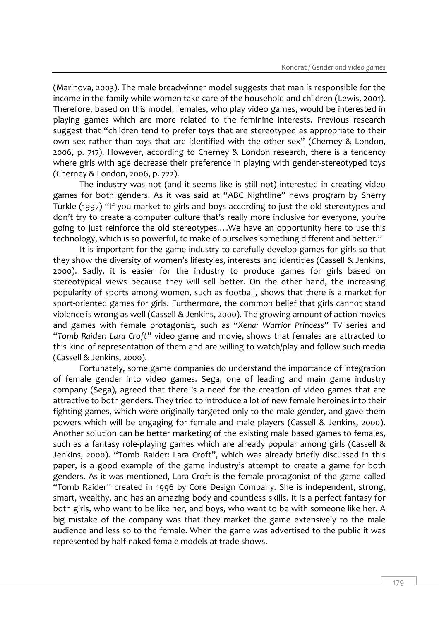(Marinova, 2003). The male breadwinner model suggests that man is responsible for the income in the family while women take care of the household and children (Lewis, 2001). Therefore, based on this model, females, who play video games, would be interested in playing games which are more related to the feminine interests. Previous research suggest that "children tend to prefer toys that are stereotyped as appropriate to their own sex rather than toys that are identified with the other sex" (Cherney & London, 2006, p. 717). However, according to Cherney & London research, there is a tendency where girls with age decrease their preference in playing with gender-stereotyped toys (Cherney & London, 2006, p. 722).

The industry was not (and it seems like is still not) interested in creating video games for both genders. As it was said at "ABC Nightline" news program by Sherry Turkle (1997) "If you market to girls and boys according to just the old stereotypes and don't try to create a computer culture that's really more inclusive for everyone, you're going to just reinforce the old stereotypes….We have an opportunity here to use this technology, which is so powerful, to make of ourselves something different and better."

It is important for the game industry to carefully develop games for girls so that they show the diversity of women's lifestyles, interests and identities (Cassell & Jenkins, 2000). Sadly, it is easier for the industry to produce games for girls based on stereotypical views because they will sell better. On the other hand, the increasing popularity of sports among women, such as football, shows that there is a market for sport-oriented games for girls. Furthermore, the common belief that girls cannot stand violence is wrong as well (Cassell & Jenkins, 2000). The growing amount of action movies and games with female protagonist, such as "*Xena: Warrior Princess*" TV series and "*Tomb Raider: Lara Croft*" video game and movie, shows that females are attracted to this kind of representation of them and are willing to watch/play and follow such media (Cassell & Jenkins, 2000).

Fortunately, some game companies do understand the importance of integration of female gender into video games. Sega, one of leading and main game industry company (Sega), agreed that there is a need for the creation of video games that are attractive to both genders. They tried to introduce a lot of new female heroines into their fighting games, which were originally targeted only to the male gender, and gave them powers which will be engaging for female and male players (Cassell & Jenkins, 2000). Another solution can be better marketing of the existing male based games to females, such as a fantasy role-playing games which are already popular among girls (Cassell & Jenkins, 2000). "Tomb Raider: Lara Croft", which was already briefly discussed in this paper, is a good example of the game industry's attempt to create a game for both genders. As it was mentioned, Lara Croft is the female protagonist of the game called "Tomb Raider" created in 1996 by Core Design Company. She is independent, strong, smart, wealthy, and has an amazing body and countless skills. It is a perfect fantasy for both girls, who want to be like her, and boys, who want to be with someone like her. A big mistake of the company was that they market the game extensively to the male audience and less so to the female. When the game was advertised to the public it was represented by half-naked female models at trade shows.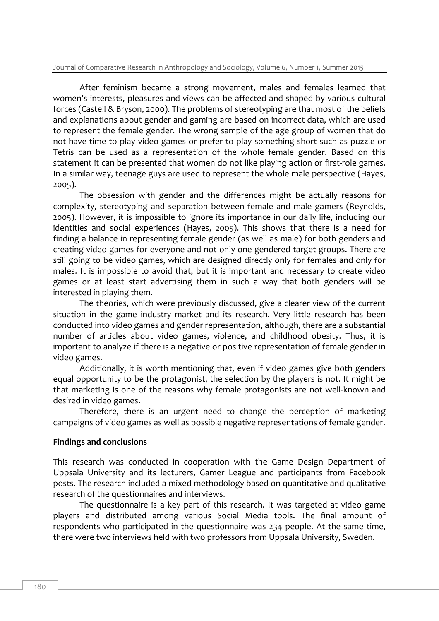After feminism became a strong movement, males and females learned that women's interests, pleasures and views can be affected and shaped by various cultural forces (Castell & Bryson, 2000). The problems of stereotyping are that most of the beliefs and explanations about gender and gaming are based on incorrect data, which are used to represent the female gender. The wrong sample of the age group of women that do not have time to play video games or prefer to play something short such as puzzle or Tetris can be used as a representation of the whole female gender. Based on this statement it can be presented that women do not like playing action or first-role games. In a similar way, teenage guys are used to represent the whole male perspective (Hayes, 2005).

The obsession with gender and the differences might be actually reasons for complexity, stereotyping and separation between female and male gamers (Reynolds, 2005). However, it is impossible to ignore its importance in our daily life, including our identities and social experiences (Hayes, 2005). This shows that there is a need for finding a balance in representing female gender (as well as male) for both genders and creating video games for everyone and not only one gendered target groups. There are still going to be video games, which are designed directly only for females and only for males. It is impossible to avoid that, but it is important and necessary to create video games or at least start advertising them in such a way that both genders will be interested in playing them.

The theories, which were previously discussed, give a clearer view of the current situation in the game industry market and its research. Very little research has been conducted into video games and gender representation, although, there are a substantial number of articles about video games, violence, and childhood obesity. Thus, it is important to analyze if there is a negative or positive representation of female gender in video games.

Additionally, it is worth mentioning that, even if video games give both genders equal opportunity to be the protagonist, the selection by the players is not. It might be that marketing is one of the reasons why female protagonists are not well-known and desired in video games.

Therefore, there is an urgent need to change the perception of marketing campaigns of video games as well as possible negative representations of female gender.

#### **Findings and conclusions**

This research was conducted in cooperation with the Game Design Department of Uppsala University and its lecturers, Gamer League and participants from Facebook posts. The research included a mixed methodology based on quantitative and qualitative research of the questionnaires and interviews.

The questionnaire is a key part of this research. It was targeted at video game players and distributed among various Social Media tools. The final amount of respondents who participated in the questionnaire was 234 people. At the same time, there were two interviews held with two professors from Uppsala University, Sweden.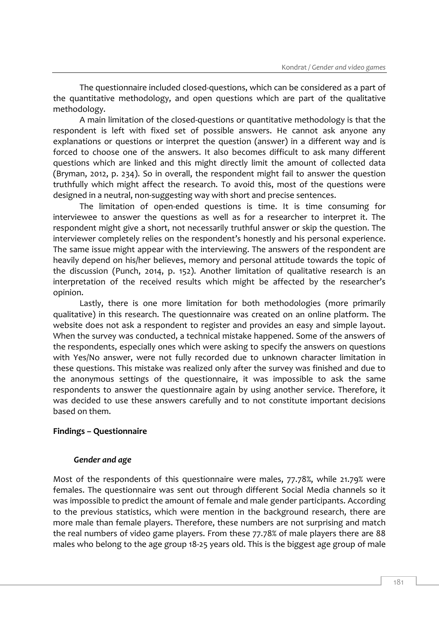The questionnaire included closed-questions, which can be considered as a part of the quantitative methodology, and open questions which are part of the qualitative methodology.

A main limitation of the closed-questions or quantitative methodology is that the respondent is left with fixed set of possible answers. He cannot ask anyone any explanations or questions or interpret the question (answer) in a different way and is forced to choose one of the answers. It also becomes difficult to ask many different questions which are linked and this might directly limit the amount of collected data (Bryman, 2012, p. 234). So in overall, the respondent might fail to answer the question truthfully which might affect the research. To avoid this, most of the questions were designed in a neutral, non-suggesting way with short and precise sentences.

The limitation of open-ended questions is time. It is time consuming for interviewee to answer the questions as well as for a researcher to interpret it. The respondent might give a short, not necessarily truthful answer or skip the question. The interviewer completely relies on the respondent's honestly and his personal experience. The same issue might appear with the interviewing. The answers of the respondent are heavily depend on his/her believes, memory and personal attitude towards the topic of the discussion (Punch, 2014, p. 152). Another limitation of qualitative research is an interpretation of the received results which might be affected by the researcher's opinion.

Lastly, there is one more limitation for both methodologies (more primarily qualitative) in this research. The questionnaire was created on an online platform. The website does not ask a respondent to register and provides an easy and simple layout. When the survey was conducted, a technical mistake happened. Some of the answers of the respondents, especially ones which were asking to specify the answers on questions with Yes/No answer, were not fully recorded due to unknown character limitation in these questions. This mistake was realized only after the survey was finished and due to the anonymous settings of the questionnaire, it was impossible to ask the same respondents to answer the questionnaire again by using another service. Therefore, it was decided to use these answers carefully and to not constitute important decisions based on them.

## **Findings – Questionnaire**

## *Gender and age*

Most of the respondents of this questionnaire were males, 77.78%, while 21.79% were females. The questionnaire was sent out through different Social Media channels so it was impossible to predict the amount of female and male gender participants. According to the previous statistics, which were mention in the background research, there are more male than female players. Therefore, these numbers are not surprising and match the real numbers of video game players. From these 77.78% of male players there are 88 males who belong to the age group 18-25 years old. This is the biggest age group of male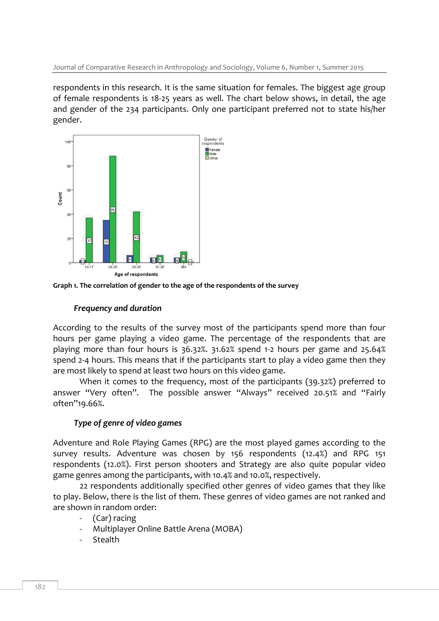Journal of Comparative Research in Anthropology and Sociology, Volume 6, Number 1, Summer 2015

respondents in this research. It is the same situation for females. The biggest age group of female respondents is 18-25 years as well. The chart below shows, in detail, the age and gender of the 234 participants. Only one participant preferred not to state his/her gender.



**Graph 1. The correlation of gender to the age of the respondents of the survey**

## *Frequency and duration*

According to the results of the survey most of the participants spend more than four hours per game playing a video game. The percentage of the respondents that are playing more than four hours is 36.32%. 31.62% spend 1-2 hours per game and 25.64% spend 2-4 hours. This means that if the participants start to play a video game then they are most likely to spend at least two hours on this video game.

When it comes to the frequency, most of the participants (39.32%) preferred to answer "Very often". The possible answer "Always" received 20.51% and "Fairly often"19.66%.

# *Type of genre of video games*

Adventure and Role Playing Games (RPG) are the most played games according to the survey results. Adventure was chosen by 156 respondents (12.4%) and RPG 151 respondents (12.0%). First person shooters and Strategy are also quite popular video game genres among the participants, with 10.4% and 10.0%, respectively.

22 respondents additionally specified other genres of video games that they like to play. Below, there is the list of them. These genres of video games are not ranked and are shown in random order:

- (Car) racing
- Multiplayer Online Battle Arena (MOBA)
- **Stealth**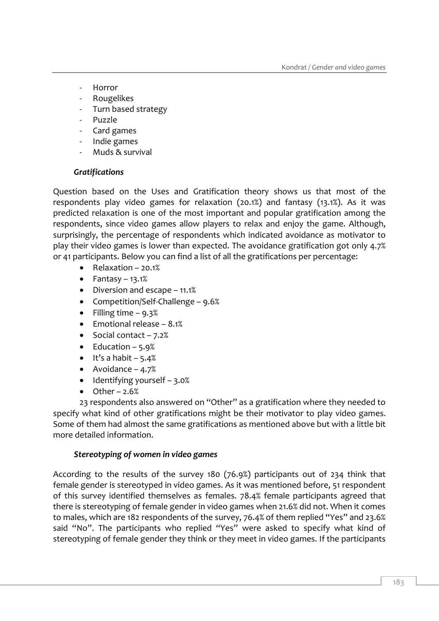- **Horror**
- Rougelikes
- Turn based strategy
- Puzzle
- Card games
- Indie games
- Muds & survival

#### *Gratifications*

Question based on the Uses and Gratification theory shows us that most of the respondents play video games for relaxation (20.1%) and fantasy (13.1%). As it was predicted relaxation is one of the most important and popular gratification among the respondents, since video games allow players to relax and enjoy the game. Although, surprisingly, the percentage of respondents which indicated avoidance as motivator to play their video games is lower than expected. The avoidance gratification got only 4.7% or 41 participants. Below you can find a list of all the gratifications per percentage:

- Relaxation 20.1%
- $\bullet$  Fantasy 13.1%
- Diversion and escape 11.1%
- Competition/Self-Challenge 9.6%
- Filling time  $-9.3%$
- $\bullet$  Emotional release 8.1%
- $\bullet$  Social contact 7.2%
- $\bullet$  Education 5.9%
- $\bullet$  It's a habit 5.4%
- Avoidance  $-4.7%$
- $\bullet$  Identifying yourself 3.0%
- $\bullet$  Other 2.6%

23 respondents also answered on "Other" as a gratification where they needed to specify what kind of other gratifications might be their motivator to play video games. Some of them had almost the same gratifications as mentioned above but with a little bit more detailed information.

#### *Stereotyping of women in video games*

According to the results of the survey 180 (76.9%) participants out of 234 think that female gender is stereotyped in video games. As it was mentioned before, 51 respondent of this survey identified themselves as females. 78.4% female participants agreed that there is stereotyping of female gender in video games when 21.6% did not. When it comes to males, which are 182 respondents of the survey, 76.4% of them replied "Yes" and 23.6% said "No". The participants who replied "Yes" were asked to specify what kind of stereotyping of female gender they think or they meet in video games. If the participants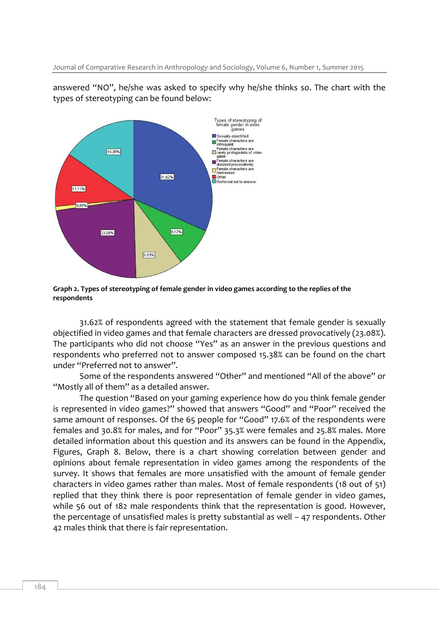answered "NO", he/she was asked to specify why he/she thinks so. The chart with the types of stereotyping can be found below:



**Graph 2. Types of stereotyping of female gender in video games according to the replies of the respondents**

31.62% of respondents agreed with the statement that female gender is sexually objectified in video games and that female characters are dressed provocatively (23.08%). The participants who did not choose "Yes" as an answer in the previous questions and respondents who preferred not to answer composed 15.38% can be found on the chart under "Preferred not to answer".

Some of the respondents answered "Other" and mentioned "All of the above" or "Mostly all of them" as a detailed answer.

The question "Based on your gaming experience how do you think female gender is represented in video games?" showed that answers "Good" and "Poor" received the same amount of responses. Of the 65 people for "Good" 17.6% of the respondents were females and 30.8% for males, and for "Poor" 35.3% were females and 25.8% males. More detailed information about this question and its answers can be found in the Appendix, Figures, Graph 8. Below, there is a chart showing correlation between gender and opinions about female representation in video games among the respondents of the survey. It shows that females are more unsatisfied with the amount of female gender characters in video games rather than males. Most of female respondents (18 out of 51) replied that they think there is poor representation of female gender in video games, while 56 out of 182 male respondents think that the representation is good. However, the percentage of unsatisfied males is pretty substantial as well – 47 respondents. Other 42 males think that there is fair representation.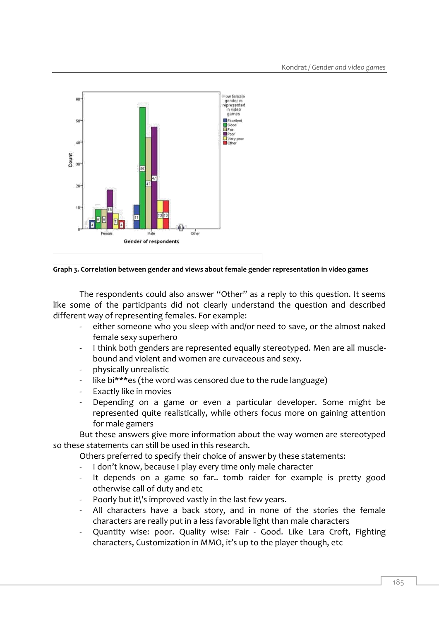

#### **Graph 3. Correlation between gender and views about female gender representation in video games**

The respondents could also answer "Other" as a reply to this question. It seems like some of the participants did not clearly understand the question and described different way of representing females. For example:

- either someone who you sleep with and/or need to save, or the almost naked female sexy superhero
- I think both genders are represented equally stereotyped. Men are all musclebound and violent and women are curvaceous and sexy.
- physically unrealistic
- like bi\*\*\*es (the word was censored due to the rude language)
- Exactly like in movies
- Depending on a game or even a particular developer. Some might be represented quite realistically, while others focus more on gaining attention for male gamers

But these answers give more information about the way women are stereotyped so these statements can still be used in this research.

Others preferred to specify their choice of answer by these statements:

- I don't know, because I play every time only male character
- It depends on a game so far.. tomb raider for example is pretty good otherwise call of duty and etc
- Poorly but it\'s improved vastly in the last few years.
- All characters have a back story, and in none of the stories the female characters are really put in a less favorable light than male characters
- Quantity wise: poor. Quality wise: Fair Good. Like Lara Croft, Fighting characters, Customization in MMO, it's up to the player though, etc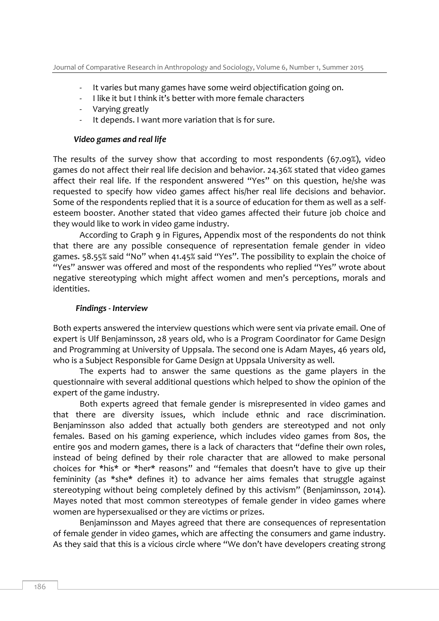- It varies but many games have some weird objectification going on.
- I like it but I think it's better with more female characters
- Varying greatly
- It depends. I want more variation that is for sure.

## *Video games and real life*

The results of the survey show that according to most respondents (67.09%), video games do not affect their real life decision and behavior. 24.36% stated that video games affect their real life. If the respondent answered "Yes" on this question, he/she was requested to specify how video games affect his/her real life decisions and behavior. Some of the respondents replied that it is a source of education for them as well as a selfesteem booster. Another stated that video games affected their future job choice and they would like to work in video game industry.

According to Graph 9 in Figures, Appendix most of the respondents do not think that there are any possible consequence of representation female gender in video games. 58.55% said "No" when 41.45% said "Yes". The possibility to explain the choice of "Yes" answer was offered and most of the respondents who replied "Yes" wrote about negative stereotyping which might affect women and men's perceptions, morals and identities.

## *Findings - Interview*

Both experts answered the interview questions which were sent via private email. One of expert is Ulf Benjaminsson, 28 years old, who is a Program Coordinator for Game Design and Programming at University of Uppsala. The second one is Adam Mayes, 46 years old, who is a Subject Responsible for Game Design at Uppsala University as well.

The experts had to answer the same questions as the game players in the questionnaire with several additional questions which helped to show the opinion of the expert of the game industry.

Both experts agreed that female gender is misrepresented in video games and that there are diversity issues, which include ethnic and race discrimination. Benjaminsson also added that actually both genders are stereotyped and not only females. Based on his gaming experience, which includes video games from 80s, the entire 90s and modern games, there is a lack of characters that "define their own roles, instead of being defined by their role character that are allowed to make personal choices for \*his\* or \*her\* reasons" and "females that doesn't have to give up their femininity (as \*she\* defines it) to advance her aims females that struggle against stereotyping without being completely defined by this activism" (Benjaminsson, 2014). Mayes noted that most common stereotypes of female gender in video games where women are hypersexualised or they are victims or prizes.

Benjaminsson and Mayes agreed that there are consequences of representation of female gender in video games, which are affecting the consumers and game industry. As they said that this is a vicious circle where "We don't have developers creating strong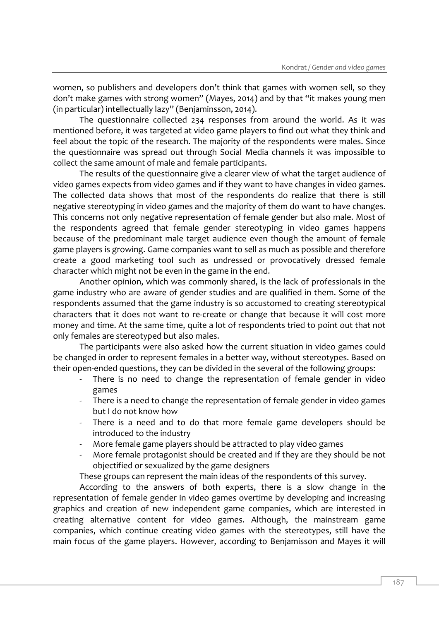women, so publishers and developers don't think that games with women sell, so they don't make games with strong women" (Mayes, 2014) and by that "it makes young men (in particular) intellectually lazy" (Benjaminsson, 2014).

The questionnaire collected 234 responses from around the world. As it was mentioned before, it was targeted at video game players to find out what they think and feel about the topic of the research. The majority of the respondents were males. Since the questionnaire was spread out through Social Media channels it was impossible to collect the same amount of male and female participants.

The results of the questionnaire give a clearer view of what the target audience of video games expects from video games and if they want to have changes in video games. The collected data shows that most of the respondents do realize that there is still negative stereotyping in video games and the majority of them do want to have changes. This concerns not only negative representation of female gender but also male. Most of the respondents agreed that female gender stereotyping in video games happens because of the predominant male target audience even though the amount of female game players is growing. Game companies want to sell as much as possible and therefore create a good marketing tool such as undressed or provocatively dressed female character which might not be even in the game in the end.

Another opinion, which was commonly shared, is the lack of professionals in the game industry who are aware of gender studies and are qualified in them. Some of the respondents assumed that the game industry is so accustomed to creating stereotypical characters that it does not want to re-create or change that because it will cost more money and time. At the same time, quite a lot of respondents tried to point out that not only females are stereotyped but also males.

The participants were also asked how the current situation in video games could be changed in order to represent females in a better way, without stereotypes. Based on their open-ended questions, they can be divided in the several of the following groups:

- There is no need to change the representation of female gender in video games
- There is a need to change the representation of female gender in video games but I do not know how
- There is a need and to do that more female game developers should be introduced to the industry
- More female game players should be attracted to play video games
- More female protagonist should be created and if they are they should be not objectified or sexualized by the game designers

These groups can represent the main ideas of the respondents of this survey.

According to the answers of both experts, there is a slow change in the representation of female gender in video games overtime by developing and increasing graphics and creation of new independent game companies, which are interested in creating alternative content for video games. Although, the mainstream game companies, which continue creating video games with the stereotypes, still have the main focus of the game players. However, according to Benjamisson and Mayes it will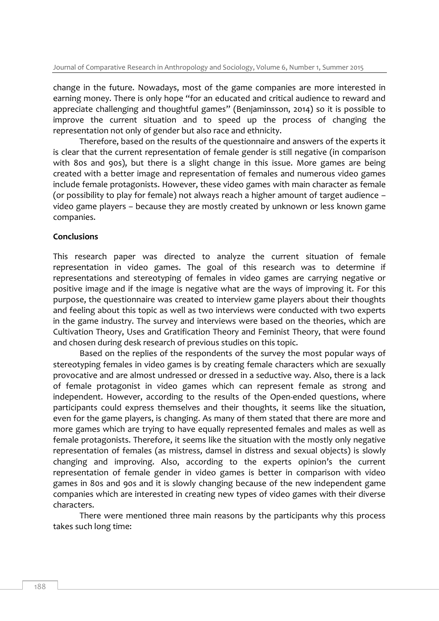change in the future. Nowadays, most of the game companies are more interested in earning money. There is only hope "for an educated and critical audience to reward and appreciate challenging and thoughtful games" (Benjaminsson, 2014) so it is possible to improve the current situation and to speed up the process of changing the representation not only of gender but also race and ethnicity.

Therefore, based on the results of the questionnaire and answers of the experts it is clear that the current representation of female gender is still negative (in comparison with 80s and 90s), but there is a slight change in this issue. More games are being created with a better image and representation of females and numerous video games include female protagonists. However, these video games with main character as female (or possibility to play for female) not always reach a higher amount of target audience – video game players – because they are mostly created by unknown or less known game companies.

#### **Conclusions**

This research paper was directed to analyze the current situation of female representation in video games. The goal of this research was to determine if representations and stereotyping of females in video games are carrying negative or positive image and if the image is negative what are the ways of improving it. For this purpose, the questionnaire was created to interview game players about their thoughts and feeling about this topic as well as two interviews were conducted with two experts in the game industry. The survey and interviews were based on the theories, which are Cultivation Theory, Uses and Gratification Theory and Feminist Theory, that were found and chosen during desk research of previous studies on this topic.

Based on the replies of the respondents of the survey the most popular ways of stereotyping females in video games is by creating female characters which are sexually provocative and are almost undressed or dressed in a seductive way. Also, there is a lack of female protagonist in video games which can represent female as strong and independent. However, according to the results of the Open-ended questions, where participants could express themselves and their thoughts, it seems like the situation, even for the game players, is changing. As many of them stated that there are more and more games which are trying to have equally represented females and males as well as female protagonists. Therefore, it seems like the situation with the mostly only negative representation of females (as mistress, damsel in distress and sexual objects) is slowly changing and improving. Also, according to the experts opinion's the current representation of female gender in video games is better in comparison with video games in 80s and 90s and it is slowly changing because of the new independent game companies which are interested in creating new types of video games with their diverse characters.

There were mentioned three main reasons by the participants why this process takes such long time: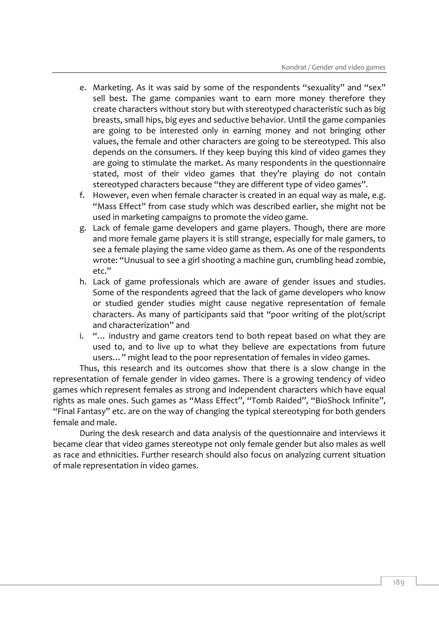- e. Marketing. As it was said by some of the respondents "sexuality" and "sex" sell best. The game companies want to earn more money therefore they create characters without story but with stereotyped characteristic such as big breasts, small hips, big eyes and seductive behavior. Until the game companies are going to be interested only in earning money and not bringing other values, the female and other characters are going to be stereotyped. This also depends on the consumers. If they keep buying this kind of video games they are going to stimulate the market. As many respondents in the questionnaire stated, most of their video games that they're playing do not contain stereotyped characters because "they are different type of video games".
- f. However, even when female character is created in an equal way as male, e.g. "Mass Effect" from case study which was described earlier, she might not be used in marketing campaigns to promote the video game.
- g. Lack of female game developers and game players. Though, there are more and more female game players it is still strange, especially for male gamers, to see a female playing the same video game as them. As one of the respondents wrote: "Unusual to see a girl shooting a machine gun, crumbling head zombie, etc."
- h. Lack of game professionals which are aware of gender issues and studies. Some of the respondents agreed that the lack of game developers who know or studied gender studies might cause negative representation of female characters. As many of participants said that "poor writing of the plot/script and characterization" and
- i. "… industry and game creators tend to both repeat based on what they are used to, and to live up to what they believe are expectations from future users…" might lead to the poor representation of females in video games.

Thus, this research and its outcomes show that there is a slow change in the representation of female gender in video games. There is a growing tendency of video games which represent females as strong and independent characters which have equal rights as male ones. Such games as "Mass Effect", "Tomb Raided", "BioShock Infinite", "Final Fantasy" etc. are on the way of changing the typical stereotyping for both genders female and male.

During the desk research and data analysis of the questionnaire and interviews it became clear that video games stereotype not only female gender but also males as well as race and ethnicities. Further research should also focus on analyzing current situation of male representation in video games.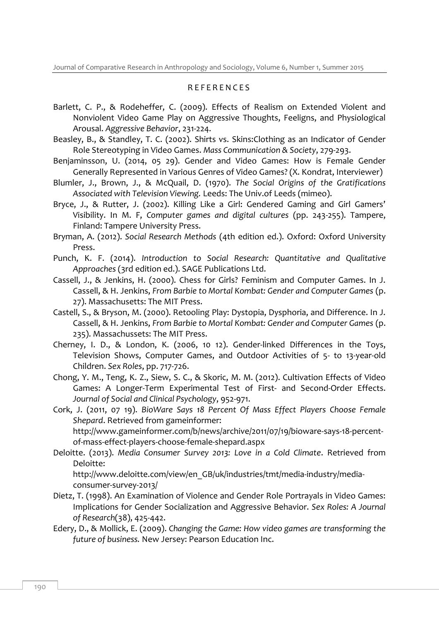### R E F E R E N C E S

- Barlett, C. P., & Rodeheffer, C. (2009). Effects of Realism on Extended Violent and Nonviolent Video Game Play on Aggressive Thoughts, Feeligns, and Physiological Arousal. *Aggressive Behavior*, 231-224.
- Beasley, B., & Standley, T. C. (2002). Shirts vs. Skins:Clothing as an Indicator of Gender Role Stereotyping in Video Games. *Mass Communication & Society*, 279-293.
- Benjaminsson, U. (2014, 05 29). Gender and Video Games: How is Female Gender Generally Represented in Various Genres of Video Games? (X. Kondrat, Interviewer)
- Blumler, J., Brown, J., & McQuail, D. (1970). *The Social Origins of the Gratifications Associated with Television Viewing.* Leeds: The Univ.of Leeds (mimeo).
- Bryce, J., & Rutter, J. (2002). Killing Like a Girl: Gendered Gaming and Girl Gamers' Visibility. In M. F, *Computer games and digital cultures* (pp. 243-255). Tampere, Finland: Tampere University Press.
- Bryman, A. (2012). *Social Research Methods* (4th edition ed.). Oxford: Oxford University Press.
- Punch, K. F. (2014). *Introduction to Social Research: Quantitative and Qualitative Approaches* (3rd edition ed.). SAGE Publications Ltd.
- Cassell, J., & Jenkins, H. (2000). Chess for Girls? Feminism and Computer Games. In J. Cassell, & H. Jenkins, *From Barbie to Mortal Kombat: Gender and Computer Games* (p. 27). Massachusetts: The MIT Press.
- Castell, S., & Bryson, M. (2000). Retooling Play: Dystopia, Dysphoria, and Difference. In J. Cassell, & H. Jenkins, *From Barbie to Mortal Kombat: Gender and Computer Games* (p. 235). Massachussets: The MIT Press.
- Cherney, I. D., & London, K. (2006, 10 12). Gender-linked Differences in the Toys, Television Shows, Computer Games, and Outdoor Activities of 5- to 13-year-old Children. *Sex Roles*, pp. 717-726.
- Chong, Y. M., Teng, K. Z., Siew, S. C., & Skoric, M. M. (2012). Cultivation Effects of Video Games: A Longer-Term Experimental Test of First- and Second-Order Effects. *Journal of Social and Clinical Psychology*, 952-971.
- Cork, J. (2011, 07 19). *BioWare Says 18 Percent Of Mass Effect Players Choose Female Shepard*. Retrieved from gameinformer: http://www.gameinformer.com/b/news/archive/2011/07/19/bioware-says-18-percent-

of-mass-effect-players-choose-female-shepard.aspx

Deloitte. (2013). *Media Consumer Survey 2013: Love in a Cold Climate*. Retrieved from Deloitte:

http://www.deloitte.com/view/en\_GB/uk/industries/tmt/media-industry/mediaconsumer-survey-2013/

- Dietz, T. (1998). An Examination of Violence and Gender Role Portrayals in Video Games: Implications for Gender Socialization and Aggressive Behavior. *Sex Roles: A Journal of Research*(38), 425-442.
- Edery, D., & Mollick, E. (2009). *Changing the Game: How video games are transforming the future of business.* New Jersey: Pearson Education Inc.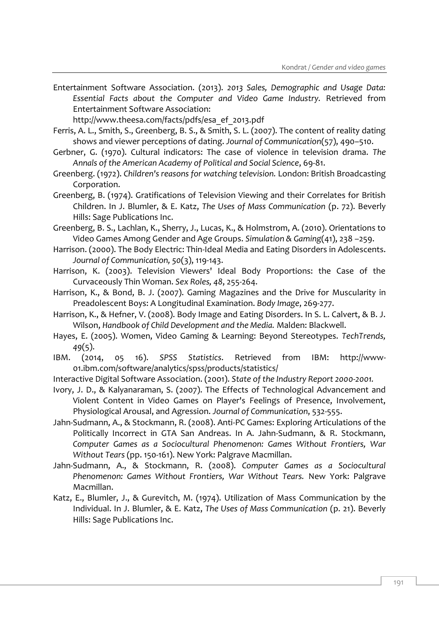Entertainment Software Association. (2013). *2013 Sales, Demographic and Usage Data: Essential Facts about the Computer and Video Game Industry.* Retrieved from Entertainment Software Association:

http://www.theesa.com/facts/pdfs/esa\_ef\_2013.pdf

- Ferris, A. L., Smith, S., Greenberg, B. S., & Smith, S. L. (2007). The content of reality dating shows and viewer perceptions of dating. *Journal of Communication*(57), 490–510.
- Gerbner, G. (1970). Cultural indicators: The case of violence in television drama. *The Annals of the American Academy of Political and Social Science*, 69-81.
- Greenberg. (1972). *Children's reasons for watching television.* London: British Broadcasting Corporation.
- Greenberg, B. (1974). Gratifications of Television Viewing and their Correlates for British Children. In J. Blumler, & E. Katz, *The Uses of Mass Communication* (p. 72). Beverly Hills: Sage Publications Inc.
- Greenberg, B. S., Lachlan, K., Sherry, J., Lucas, K., & Holmstrom, A. (2010). Orientations to Video Games Among Gender and Age Groups. *Simulation & Gaming*(41), 238 –259.
- Harrison. (2000). The Body Electric: Thin-Ideal Media and Eating Disorders in Adolescents. *Journal of Communication, 50*(3), 119-143.
- Harrison, K. (2003). Television Viewers' Ideal Body Proportions: the Case of the Curvaceously Thin Woman. *Sex Roles, 48*, 255-264.
- Harrison, K., & Bond, B. J. (2007). Gaming Magazines and the Drive for Muscularity in Preadolescent Boys: A Longitudinal Examination. *Body Image*, 269-277.
- Harrison, K., & Hefner, V. (2008). Body Image and Eating Disorders. In S. L. Calvert, & B. J. Wilson, *Handbook of Child Development and the Media.* Malden: Blackwell.
- Hayes, E. (2005). Women, Video Gaming & Learning: Beyond Stereotypes. *TechTrends, 49*(5).
- IBM. (2014, 05 16). *SPSS Statistics*. Retrieved from IBM: http://www-01.ibm.com/software/analytics/spss/products/statistics/
- Interactive Digital Software Association. (2001). *State of the Industry Report 2000-2001.*
- Ivory, J. D., & Kalyanaraman, S. (2007). The Effects of Technological Advancement and Violent Content in Video Games on Player's Feelings of Presence, Involvement, Physiological Arousal, and Agression. *Journal of Communication*, 532-555.
- Jahn-Sudmann, A., & Stockmann, R. (2008). Anti-PC Games: Exploring Articulations of the Politically Incorrect in GTA San Andreas. In A. Jahn-Sudmann, & R. Stockmann, *Computer Games as a Sociocultural Phenomenon: Games Without Frontiers, War Without Tears* (pp. 150-161). New York: Palgrave Macmillan.
- Jahn-Sudmann, A., & Stockmann, R. (2008). *Computer Games as a Sociocultural Phenomenon: Games Without Frontiers, War Without Tears.* New York: Palgrave Macmillan.
- Katz, E., Blumler, J., & Gurevitch, M. (1974). Utilization of Mass Communication by the Individual. In J. Blumler, & E. Katz, *The Uses of Mass Communication* (p. 21). Beverly Hills: Sage Publications Inc.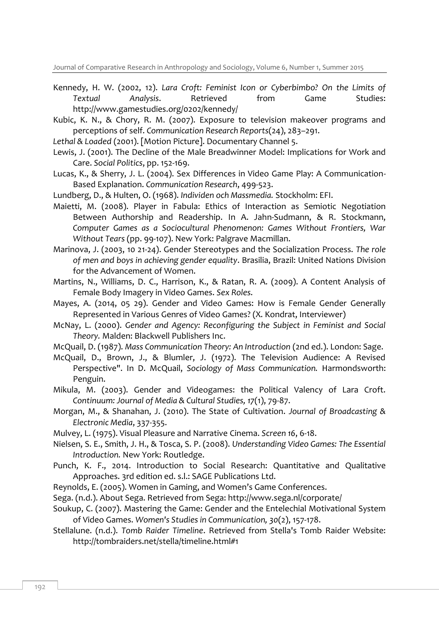Journal of Comparative Research in Anthropology and Sociology, Volume 6, Number 1, Summer 2015

- Kennedy, H. W. (2002, 12). *Lara Croft: Feminist Icon or Cyberbimbo? On the Limits of Textual Analysis*. Retrieved from Game Studies: http://www.gamestudies.org/0202/kennedy/
- Kubic, K. N., & Chory, R. M. (2007). Exposure to television makeover programs and perceptions of self. *Communication Research Reports*(24), 283–291.
- *Lethal & Loaded* (2001). [Motion Picture]. Documentary Channel 5.
- Lewis, J. (2001). The Decline of the Male Breadwinner Model: Implications for Work and Care. *Social Politics*, pp. 152-169.
- Lucas, K., & Sherry, J. L. (2004). Sex Differences in Video Game Play: A Communication-Based Explanation. *Communication Research*, 499-523.
- Lundberg, D., & Hulten, O. (1968). *Individen och Massmedia.* Stockholm: EFI.
- Maietti, M. (2008). Player in Fabula: Ethics of Interaction as Semiotic Negotiation Between Authorship and Readership. In A. Jahn-Sudmann, & R. Stockmann, *Computer Games as a Sociocultural Phenomenon: Games Without Frontiers, War Without Tears* (pp. 99-107). New York: Palgrave Macmillan.
- Marinova, J. (2003, 10 21-24). Gender Stereotypes and the Socialization Process. *The role of men and boys in achieving gender equality*. Brasilia, Brazil: United Nations Division for the Advancement of Women.
- Martins, N., Williams, D. C., Harrison, K., & Ratan, R. A. (2009). A Content Analysis of Female Body Imagery in Video Games. *Sex Roles*.
- Mayes, A. (2014, 05 29). Gender and Video Games: How is Female Gender Generally Represented in Various Genres of Video Games? (X. Kondrat, Interviewer)
- McNay, L. (2000). *Gender and Agency: Reconfiguring the Subject in Feminist and Social Theory.* Malden: Blackwell Publishers Inc.
- McQuail, D. (1987). *Mass Communication Theory: An Introduction* (2nd ed.). London: Sage.
- McQuail, D., Brown, J., & Blumler, J. (1972). The Television Audience: A Revised Perspective". In D. McQuail, *Sociology of Mass Communication.* Harmondsworth: Penguin.
- Mikula, M. (2003). Gender and Videogames: the Political Valency of Lara Croft. *Continuum: Journal of Media & Cultural Studies, 17*(1), 79-87.
- Morgan, M., & Shanahan, J. (2010). The State of Cultivation. *Journal of Broadcasting & Electronic Media*, 337-355.
- Mulvey, L. (1975). Visual Pleasure and Narrative Cinema. *Screen 16*, 6-18.
- Nielsen, S. E., Smith, J. H., & Tosca, S. P. (2008). *Understanding Video Games: The Essential Introduction.* New York: Routledge.
- Punch, K. F., 2014. Introduction to Social Research: Quantitative and Qualitative Approaches. 3rd edition ed. s.l.: SAGE Publications Ltd.
- Reynolds, E. (2005). Women in Gaming, and Women's Game Conferences.
- Sega. (n.d.). About Sega. Retrieved from Sega: http://www.sega.nl/corporate/
- Soukup, C. (2007). Mastering the Game: Gender and the Entelechial Motivational System of Video Games. *Women's Studies in Communication, 30*(2), 157-178.
- Stellalune. (n.d.). *Tomb Raider Timeline*. Retrieved from Stella's Tomb Raider Website: http://tombraiders.net/stella/timeline.html#1